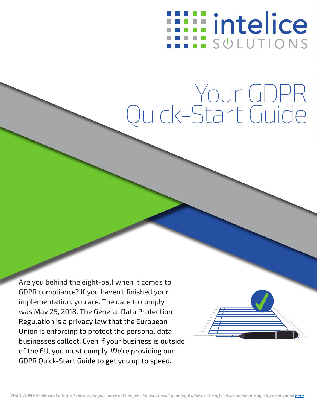## **Eintelice** SULUTIONS

# Your GDPR Quick-Start Guide

Are you behind the eight-ball when it comes to GDPR compliance? If you haven't finished your implementation, you are. The date to comply was May 25, 2018. The General Data Protection Regulation is a privacy law that the European Union is enforcing to protect the personal data businesses collect. Even if your business is outside of the EU, you must comply. We're providing our GDPR Quick-Start Guide to get you up to speed.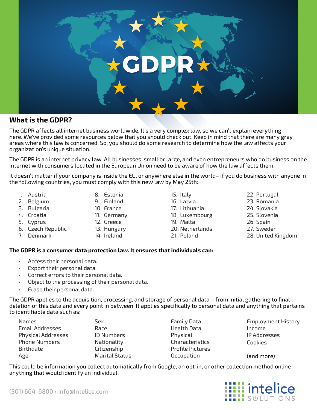

## **What is the GDPR?**

The GDPR affects all internet business worldwide. It's a very complex law, so we can't explain everything here. We've provided some resources below that you should check out. Keep in mind that there are many gray areas where this law is concerned. So, you should do some research to determine how the law affects your organization's unique situation.

The GDPR is an internet privacy law. All businesses, small or large, and even entrepreneurs who do business on the Internet with consumers located in the European Union need to be aware of how the law affects them.

It doesn't matter if your company is inside the EU, or anywhere else in the world– If you do business with anyone in the following countries, you must comply with this new law by May 25th:

- 1. Austria
- 2. Belgium
- 3. Bulgaria
- 4. Croatia
- 5. Cyprus
- 6. Czech Republic
- 7. Denmark
- 8. Estonia 9. Finland
- 10. France
- 11. Germany
- 12. Greece
- 13. Hungary
- 14. Ireland
- 15. Italy 16. Latvia 17. Lithuania 18. Luxembourg 19. Malta 20. Netherlands 21. Poland
- 22. Portugal 23. Romania
- 24. Slovakia
- 25. Slovenia
- 26. Spain
- 27. Sweden
- 28. United Kingdom

#### **The GDPR is a consumer data protection law. It ensures that individuals can:**

- Access their personal data.
- Export their personal data.
- Correct errors to their personal data.
- Object to the processing of their personal data.
- Erase their personal data.

The GDPR applies to the acquisition, processing, and storage of personal data – from initial gathering to final deletion of this data and every point in between. It applies specifically to personal data and anything that pertains to identifiable data such as:

| Names                     | Sex                   | <b>Family Data</b>      | <b>Employment History</b> |
|---------------------------|-----------------------|-------------------------|---------------------------|
| <b>Email Addresses</b>    | Race                  | Health Data             | Income                    |
| <b>Physical Addresses</b> | <b>ID Numbers</b>     | Physical                | IP Addresses              |
| <b>Phone Numbers</b>      | Nationality           | Characteristics         | Cookies                   |
| Birthdate                 | Citizenship           | <b>Profile Pictures</b> |                           |
| Age                       | <b>Marital Status</b> | Occupation              | (and more)                |

This could be information you collect automatically from Google, an opt-in, or other collection method online – anything that would identify an individual.

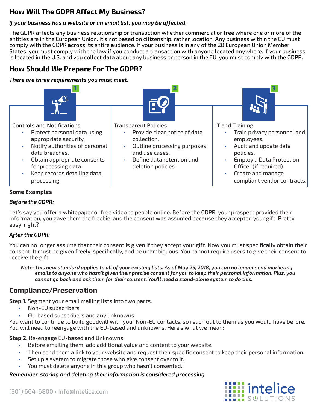## **How Will The GDPR Affect My Business?**

## *If your business has a website or an email list, you may be affected.*

The GDPR affects any business relationship or transaction whether commercial or free where one or more of the entities are in the European Union. It's not based on citizenship, rather location. Any business within the EU must comply with the GDPR across its entire audience. If your business is in any of the 28 European Union Member States, you must comply with the law if you conduct a transaction with anyone located anywhere. If your business is located in the U.S. and you collect data about any business or person in the EU, you must comply with the GDPR.

## **How Should We Prepare For The GDPR?**

*There are three requirements you must meet.*



#### **Some Examples**

#### *Before the GDPR:*

Let's say you offer a whitepaper or free video to people online. Before the GDPR, your prospect provided their information, you gave them the freebie, and the consent was assumed because they accepted your gift. Pretty easy, right?

### *After the GDPR:*

You can no longer assume that their consent is given if they accept your gift. Now you must specifically obtain their consent. It must be given freely, specifically, and be unambiguous. You cannot require users to give their consent to receive the gift.

*Note: This new standard applies to all of your existing lists. As of May 25, 2018, you can no longer send marketing emails to anyone who hasn't given their precise consent for you to keep their personal information. Plus, you cannot go back and ask them for their consent. You'll need a stand-alone system to do this.*

## **Compliance/Preservation**

**Step 1.** Segment your email mailing lists into two parts.

- Non-EU subscribers
- EU-based subscribers and any unknowns

You want to continue to build goodwill with your Non-EU contacts, so reach out to them as you would have before. You will need to reengage with the EU-based and unknowns. Here's what we mean:

**Step 2.** Re-engage EU-based and Unknowns.

- Before emailing them, add additional value and content to your website.
- Then send them a link to your website and request their specific consent to keep their personal information.
- Set up a system to migrate those who give consent over to it.
- You must delete anyone in this group who hasn't consented.

*Remember, storing and deleting their information is considered processing.*

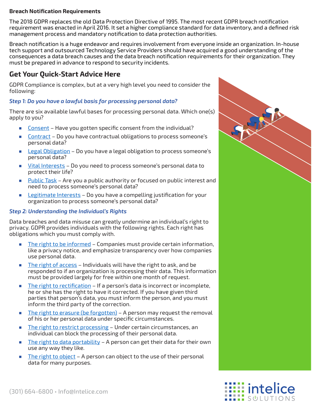#### **Breach Notification Requirements**

The 2018 GDPR replaces the old Data Protection Directive of 1995. The most recent GDPR breach notification requirement was enacted in April 2016. It set a higher compliance standard for data inventory, and a defined risk management process and mandatory notification to data protection authorities.

Breach notification is a huge endeavor and requires involvement from everyone inside an organization. In-house tech support and outsourced Technology Service Providers should have acquired a good understanding of the consequences a data breach causes and the data breach notification requirements for their organization. They must be prepared in advance to respond to security incidents.

## **Get Your Quick-Start Advice Here**

GDPR Compliance is complex, but at a very high level you need to consider the following:

#### *Step 1: Do you have a lawful basis for processing personal data?*

There are six available lawful bases for processing personal data. Which one(s) apply to you?

- Consent Have you gotten specific consent from the individual?
- Contract Do you have contractual obligations to process someone's personal data?
- Legal Obligation Do you have a legal obligation to process someone's personal data?
- Vital Interests Do you need to process someone's personal data to protect their life?
- Public Task Are you a public authority or focused on public interest and need to process someone's personal data?
- Legitimate Interests Do you have a compelling justification for your organization to process someone's personal data?

#### *Step 2: Understanding the Individual's Rights*

Data breaches and data misuse can greatly undermine an individual's right to privacy. GDPR provides individuals with the following rights. Each right has obligations which you must comply with.

- The right to be informed Companies must provide certain information, like a privacy notice, and emphasize transparency over how companies use personal data.
- The right of access Individuals will have the right to ask, and be responded to if an organization is processing their data. This information must be provided largely for free within one month of request.
- The right to rectification If a person's data is incorrect or incomplete, he or she has the right to have it corrected. If you have given third parties that person's data, you must inform the person, and you must inform the third party of the correction.
- The right to erasure (be forgotten) A person may request the removal of his or her personal data under specific circumstances.
- The right to restrict processing Under certain circumstances, an individual can block the processing of their personal data.
- **The right to data portability A person can get their data for their own** use any way they like.
- The right to object A person can object to the use of their personal data for many purposes.



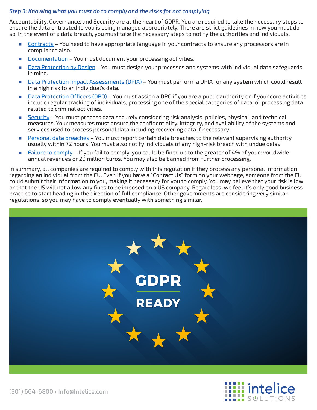#### *Step 3: Knowing what you must do to comply and the risks for not complying*

Accountability, Governance, and Security are at the heart of GDPR. You are required to take the necessary steps to ensure the data entrusted to you is being managed appropriately. There are strict guidelines in how you must do so. In the event of a data breach, you must take the necessary steps to notify the authorities and individuals.

- Contracts You need to have appropriate language in your contracts to ensure any processors are in compliance also.
- Documentation You must document your processing activities.
- Data Protection by Design You must design your processes and systems with individual data safeguards in mind.
- Data Protection Impact Assessments (DPIA) You must perform a DPIA for any system which could result in a high risk to an individual's data.
- Data Protection Officers (DPO) You must assign a DPO if you are a public authority or if your core activities include regular tracking of individuals, processing one of the special categories of data, or processing data related to criminal activities.
- Security You must process data securely considering risk analysis, policies, physical, and technical measures. Your measures must ensure the confidentiality, integrity, and availability of the systems and services used to process personal data including recovering data if necessary.
- Personal data breaches You must report certain data breaches to the relevant supervising authority usually within 72 hours. You must also notify individuals of any high-risk breach with undue delay.
- Failure to comply If you fail to comply, you could be fined up to the greater of 4% of your worldwide annual revenues or 20 million Euros. You may also be banned from further processing.

In summary, all companies are required to comply with this regulation if they process any personal information regarding an individual from the EU. Even if you have a "Contact Us" form on your webpage, someone from the EU could submit their information to you, making it necessary for you to comply. You may believe that your risk is low or that the US will not allow any fines to be imposed on a US company. Regardless, we feel it's only good business practice to start heading in the direction of full compliance. Other governments are considering very similar regulations, so you may have to comply eventually with something similar.